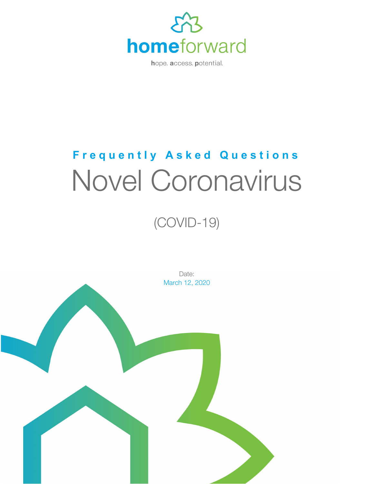

hope. access. potential.

# **Frequently Asked Questions** Novel Coronavirus

(COVID-19)

Date:

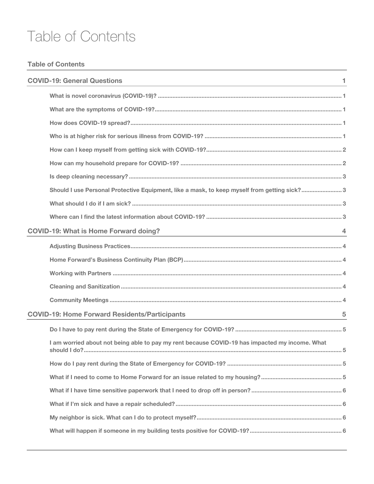# Table of Contents

#### **Table of Contents**

| <b>COVID-19: General Questions</b>                                                                                                                                                  | 1              |
|-------------------------------------------------------------------------------------------------------------------------------------------------------------------------------------|----------------|
|                                                                                                                                                                                     |                |
|                                                                                                                                                                                     |                |
|                                                                                                                                                                                     |                |
|                                                                                                                                                                                     |                |
|                                                                                                                                                                                     |                |
|                                                                                                                                                                                     |                |
|                                                                                                                                                                                     |                |
| Should I use Personal Protective Equipment, like a mask, to keep myself from getting sick? 3                                                                                        |                |
|                                                                                                                                                                                     |                |
|                                                                                                                                                                                     |                |
| <b>COVID-19: What is Home Forward doing?</b>                                                                                                                                        | $\overline{4}$ |
|                                                                                                                                                                                     |                |
|                                                                                                                                                                                     |                |
|                                                                                                                                                                                     |                |
|                                                                                                                                                                                     |                |
|                                                                                                                                                                                     |                |
| <b>COVID-19: Home Forward Residents/Participants</b><br><u> 1989 - Andrea Station Barbara, amerikan personal personal personal personal personal personal personal personal per</u> | 5              |
|                                                                                                                                                                                     |                |
| I am worried about not being able to pay my rent because COVID-19 has impacted my income. What                                                                                      |                |
|                                                                                                                                                                                     |                |
|                                                                                                                                                                                     |                |
|                                                                                                                                                                                     |                |
|                                                                                                                                                                                     |                |
|                                                                                                                                                                                     |                |
|                                                                                                                                                                                     |                |
|                                                                                                                                                                                     |                |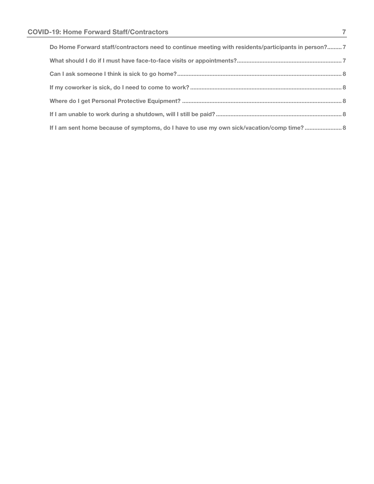| Do Home Forward staff/contractors need to continue meeting with residents/participants in person? 7 |  |
|-----------------------------------------------------------------------------------------------------|--|
|                                                                                                     |  |
|                                                                                                     |  |
|                                                                                                     |  |
|                                                                                                     |  |
|                                                                                                     |  |
| If I am sent home because of symptoms, do I have to use my own sick/vacation/comp time?  8          |  |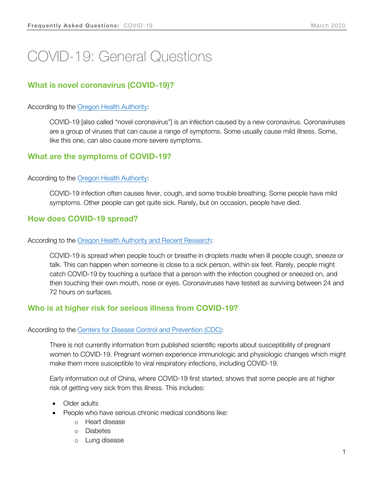# COVID-19: General Questions

### **What is novel coronavirus (COVID-19)?**

#### According to the [Oregon Health Authority:](https://www.oregon.gov/oha/PH/DISEASESCONDITIONS/DISEASESAZ/Pages/COVID19-FAQ.aspx)

COVID-19 [also called "novel coronavirus"] is an infection caused by a new coronavirus. Coronaviruses are a group of viruses that can cause a range of symptoms. Some usually cause mild illness. Some, like this one, can also cause more severe symptoms.

#### **What are the symptoms of COVID-19?**

#### According to the [Oregon Health Authority:](https://www.oregon.gov/oha/PH/DISEASESCONDITIONS/DISEASESAZ/Pages/COVID19-FAQ.aspx)

COVID-19 infection often causes fever, cough, and some trouble breathing. Some people have mild symptoms. Other people can get quite sick. Rarely, but on occasion, people have died.

#### **How does COVID-19 spread?**

#### According to the [Oregon Health Authority](https://www.oregon.gov/oha/PH/DISEASESCONDITIONS/DISEASESAZ/Pages/COVID19-FAQ.aspx) and Recent Research:

COVID-19 is spread when people touch or breathe in droplets made when ill people cough, sneeze or talk. This can happen when someone is close to a sick person, within six feet. Rarely, people might catch COVID-19 by touching a surface that a person with the infection coughed or sneezed on, and then touching their own mouth, nose or eyes. Coronaviruses have tested as surviving between 24 and 72 hours on surfaces.

#### **Who is at higher risk for serious illness from COVID-19?**

#### According to the [Centers for Disease Control and Prevention \(CDC\):](https://www.cdc.gov/coronavirus/2019-ncov/specific-groups/high-risk-complications.html)

There is not currently information from published scientific reports about susceptibility of pregnant women to COVID-19. Pregnant women experience immunologic and physiologic changes which might make them more susceptible to viral respiratory infections, including COVID-19.

Early information out of China, where COVID-19 first started, shows that some people are at higher risk of getting very sick from this illness. This includes:

- Older adults
- People who have serious chronic medical conditions like:
	- o Heart disease
	- o Diabetes
	- o Lung disease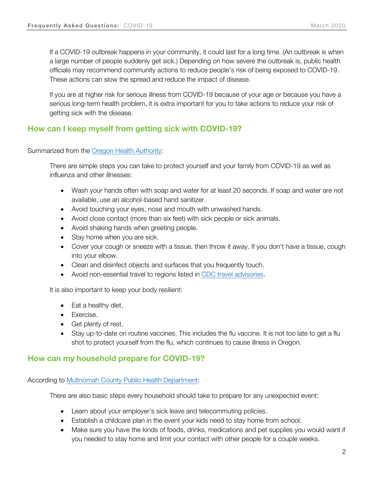If a COVID-19 outbreak happens in your community, it could last for a long time. (An outbreak is when a large number of people suddenly get sick.) Depending on how severe the outbreak is, public health officials may recommend community actions to reduce people's risk of being exposed to COVID-19. These actions can slow the spread and reduce the impact of disease.

If you are at higher risk for serious illness from COVID-19 because of your age or because you have a serious long-term health problem, it is extra important for you to take actions to reduce your risk of getting sick with the disease.

#### <span id="page-4-0"></span>**How can I keep myself from getting sick with COVID-19?**

Summarized from the [Oregon Health Authority:](https://www.oregon.gov/oha/PH/DISEASESCONDITIONS/DISEASESAZ/Pages/COVID19-FAQ.aspx)

There are simple steps you can take to protect yourself and your family from COVID-19 as well as influenza and other illnesses:

- Wash your hands often with soap and water for at least 20 seconds. If soap and water are not available, use an alcohol-based hand sanitizer.
- Avoid touching your eyes, nose and mouth with unwashed hands.
- Avoid close contact (more than six feet) with sick people or sick animals.
- Avoid shaking hands when greeting people.
- Stay home when you are sick.
- Cover your cough or sneeze with a tissue, then throw it away. If you don't have a tissue, cough into your elbow.
- Clean and disinfect objects and surfaces that you frequently touch.
- Avoid non-essential travel to regions listed in [CDC travel advisories.](https://www.cdc.gov/coronavirus/2019-ncov/travelers/index.html)

It is also important to keep your body resilient:

- Eat a healthy diet.
- Exercise.
- Get plenty of rest.
- Stay up-to-date on routine vaccines. This includes the flu vaccine. It is not too late to get a flu shot to protect yourself from the flu, which continues to cause illness in Oregon.

#### **How can my household prepare for COVID-19?**

#### According to [Multnomah County Public Health Department:](https://multco.us/novel-coronavirus-covid-19/novel-coronavirus-covid-19-faq)

There are also basic steps every household should take to prepare for any unexpected event:

- Learn about your employer's sick leave and telecommuting policies.
- Establish a childcare plan in the event your kids need to stay home from school.
- Make sure you have the kinds of foods, drinks, medications and pet supplies you would want if you needed to stay home and limit your contact with other people for a couple weeks.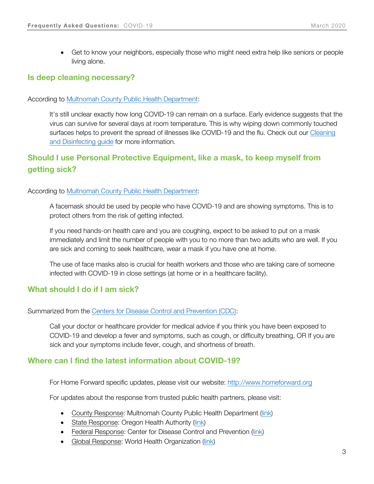• Get to know your neighbors, especially those who might need extra help like seniors or people living alone.

#### **Is deep cleaning necessary?**

According to [Multnomah County Public Health Department:](https://multco.us/novel-coronavirus-covid-19/novel-coronavirus-covid-19-faq)

It's still unclear exactly how long COVID-19 can remain on a surface. Early evidence suggests that the virus can survive for several days at room temperature. This is why wiping down commonly touched surfaces helps to prevent the spread of illnesses like COVID-19 and the flu. Check out our [Cleaning](https://multco.us/novel-coronavirus-covid-19/cleaning-and-disinfecting)  [and Disinfecting guide](https://multco.us/novel-coronavirus-covid-19/cleaning-and-disinfecting) for more information.

# **Should I use Personal Protective Equipment, like a mask, to keep myself from getting sick?**

#### According to [Multnomah County Public Health Department:](https://multco.us/novel-coronavirus-covid-19/masks-and-covid-19-what-you-should-know)

A facemask should be used by people who have COVID-19 and are showing symptoms. This is to protect others from the risk of getting infected.

If you need hands-on health care and you are coughing, expect to be asked to put on a mask immediately and limit the number of people with you to no more than two adults who are well. If you are sick and coming to seek healthcare, wear a mask if you have one at home.

The use of face masks also is crucial for health workers and those who are taking care of someone infected with COVID-19 in close settings (at home or in a healthcare facility).

#### **What should I do if I am sick?**

Summarized from the Centers [for Disease Control and Prevention \(CDC\):](https://www.cdc.gov/coronavirus/2019-ncov/about/steps-when-sick.html)

Call your doctor or healthcare provider for medical advice if you think you have been exposed to COVID-19 and develop a fever and symptoms, such as cough, or difficulty breathing, OR If you are sick and your symptoms include fever, cough, and shortness of breath.

#### **Where can I find the latest information about COVID-19?**

For Home Forward specific updates, please visit our website: [http://www.homeforward.org](http://www.homeforward.org/)

For updates about the response from trusted public health partners, please visit:

- County Response: Multnomah County Public Health Department [\(link\)](https://multco.us/novel-coronavirus-covid-19)
- State Response: Oregon Health Authority [\(link\)](https://www.oregon.gov/oha/PH/DISEASESCONDITIONS/DISEASESAZ/Pages/emerging-respiratory-infections.aspx)
- Federal Response: Center for Disease Control and Prevention [\(link\)](https://www.cdc.gov/coronavirus/2019-ncov/index.html)
- Global Response: World Health Organization [\(link\)](https://www.who.int/emergencies/diseases/novel-coronavirus-2019)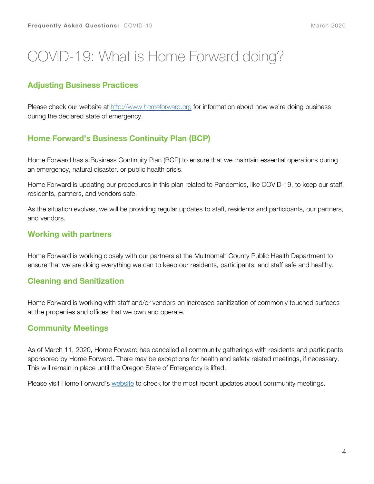# COVID-19: What is Home Forward doing?

#### **Adjusting Business Practices**

Please check our website at [http://www.homeforward.org](http://www.homeforward.org/) for information about how we're doing business during the declared state of emergency.

## **Home Forward's Business Continuity Plan (BCP)**

Home Forward has a Business Continuity Plan (BCP) to ensure that we maintain essential operations during an emergency, natural disaster, or public health crisis.

Home Forward is updating our procedures in this plan related to Pandemics, like COVID-19, to keep our staff, residents, partners, and vendors safe.

As the situation evolves, we will be providing regular updates to staff, residents and participants, our partners, and vendors.

#### **Working with partners**

Home Forward is working closely with our partners at the Multnomah County Public Health Department to ensure that we are doing everything we can to keep our residents, participants, and staff safe and healthy.

#### **Cleaning and Sanitization**

Home Forward is working with staff and/or vendors on increased sanitization of commonly touched surfaces at the properties and offices that we own and operate.

#### **Community Meetings**

As of March 11, 2020, Home Forward has cancelled all community gatherings with residents and participants sponsored by Home Forward. There may be exceptions for health and safety related meetings, if necessary. This will remain in place until the Oregon State of Emergency is lifted.

Please visit Home Forward's [website](heep://www.homeforward.org/) to check for the most recent updates about community meetings.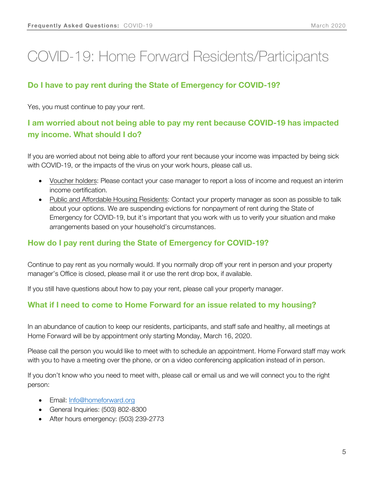# COVID-19: Home Forward Residents/Participants

### **Do I have to pay rent during the State of Emergency for COVID-19?**

Yes, you must continue to pay your rent.

# **I am worried about not being able to pay my rent because COVID-19 has impacted my income. What should I do?**

If you are worried about not being able to afford your rent because your income was impacted by being sick with COVID-19, or the impacts of the virus on your work hours, please call us.

- Voucher holders: Please contact your case manager to report a loss of income and request an interim income certification.
- Public and Affordable Housing Residents: Contact your property manager as soon as possible to talk about your options. We are suspending evictions for nonpayment of rent during the State of Emergency for COVID-19, but it's important that you work with us to verify your situation and make arrangements based on your household's circumstances.

#### **How do I pay rent during the State of Emergency for COVID-19?**

Continue to pay rent as you normally would. If you normally drop off your rent in person and your property manager's Office is closed, please mail it or use the rent drop box, if available.

If you still have questions about how to pay your rent, please call your property manager.

#### **What if I need to come to Home Forward for an issue related to my housing?**

In an abundance of caution to keep our residents, participants, and staff safe and healthy, all meetings at Home Forward will be by appointment only starting Monday, March 16, 2020.

Please call the person you would like to meet with to schedule an appointment. Home Forward staff may work with you to have a meeting over the phone, or on a video conferencing application instead of in person.

If you don't know who you need to meet with, please call or email us and we will connect you to the right person:

- Email: [Info@homeforward.org](mailto:Info@homeforward.org)
- General Inquiries: (503) 802-8300
- After hours emergency: (503) 239-2773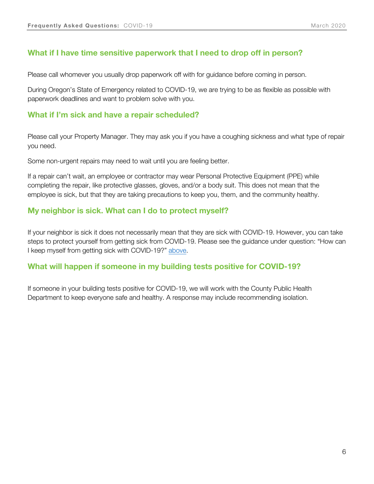#### **What if I have time sensitive paperwork that I need to drop off in person?**

Please call whomever you usually drop paperwork off with for guidance before coming in person.

During Oregon's State of Emergency related to COVID-19, we are trying to be as flexible as possible with paperwork deadlines and want to problem solve with you.

#### **What if I'm sick and have a repair scheduled?**

Please call your Property Manager. They may ask you if you have a coughing sickness and what type of repair you need.

Some non-urgent repairs may need to wait until you are feeling better.

If a repair can't wait, an employee or contractor may wear Personal Protective Equipment (PPE) while completing the repair, like protective glasses, gloves, and/or a body suit. This does not mean that the employee is sick, but that they are taking precautions to keep you, them, and the community healthy.

#### **My neighbor is sick. What can I do to protect myself?**

If your neighbor is sick it does not necessarily mean that they are sick with COVID-19. However, you can take steps to protect yourself from getting sick from COVID-19. Please see the guidance under question: "How can I keep myself from getting sick with COVID-19?" [above.](#page-4-0)

#### **What will happen if someone in my building tests positive for COVID-19?**

If someone in your building tests positive for COVID-19, we will work with the County Public Health Department to keep everyone safe and healthy. A response may include recommending isolation.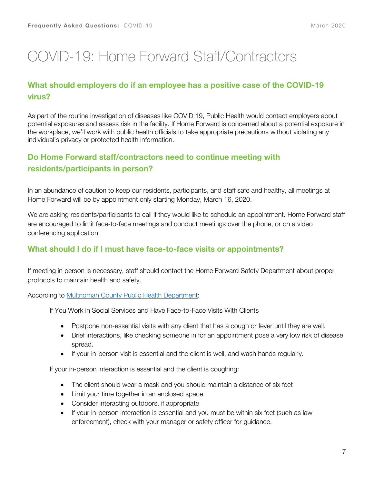# COVID-19: Home Forward Staff/Contractors

# **What should employers do if an employee has a positive case of the COVID-19 virus?**

As part of the routine investigation of diseases like COVID 19, Public Health would contact employers about potential exposures and assess risk in the facility. If Home Forward is concerned about a potential exposure in the workplace, we'll work with public health officials to take appropriate precautions without violating any individual's privacy or protected health information.

# **Do Home Forward staff/contractors need to continue meeting with residents/participants in person?**

In an abundance of caution to keep our residents, participants, and staff safe and healthy, all meetings at Home Forward will be by appointment only starting Monday, March 16, 2020.

We are asking residents/participants to call if they would like to schedule an appointment. Home Forward staff are encouraged to limit face-to-face meetings and conduct meetings over the phone, or on a video conferencing application.

### **What should I do if I must have face-to-face visits or appointments?**

If meeting in person is necessary, staff should contact the Home Forward Safety Department about proper protocols to maintain health and safety.

According to [Multnomah County Public Health Department:](https://multco.us/novel-coronavirus-covid-19/masks-and-covid-19-what-you-should-knowhttps:/multco.us/novel-coronavirus-covid-19/masks-and-covid-19-what-you-should-know)

If You Work in Social Services and Have Face-to-Face Visits With Clients

- Postpone non-essential visits with any client that has a cough or fever until they are well.
- Brief interactions, like checking someone in for an appointment pose a very low risk of disease spread.
- If your in-person visit is essential and the client is well, and wash hands regularly.

If your in-person interaction is essential and the client is coughing:

- The client should wear a mask and you should maintain a distance of six feet
- Limit your time together in an enclosed space
- Consider interacting outdoors, if appropriate
- If your in-person interaction is essential and you must be within six feet (such as law enforcement), check with your manager or safety officer for guidance.